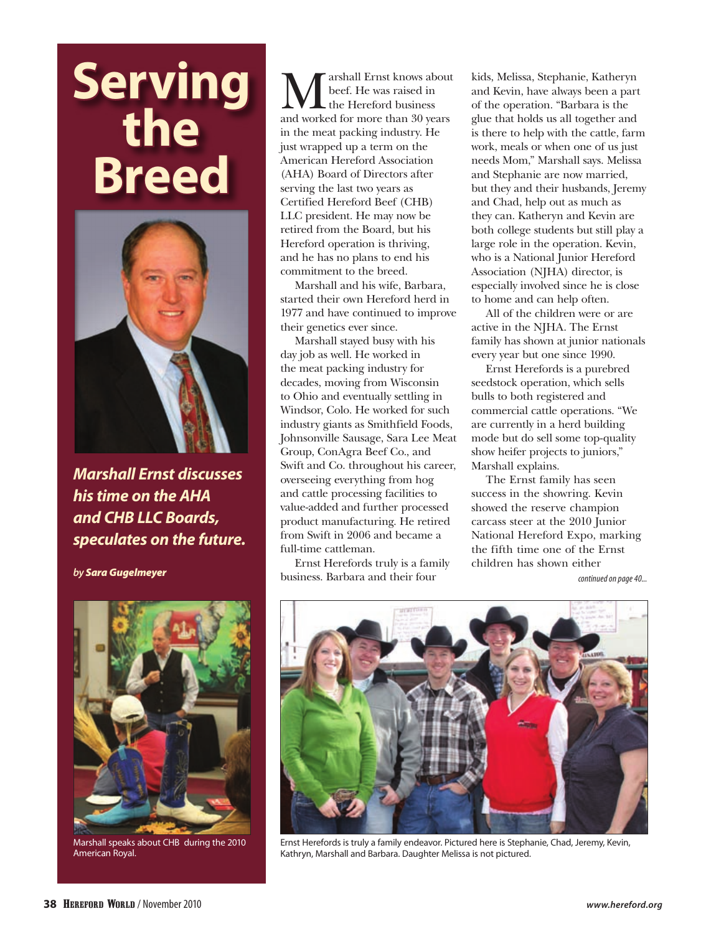# Serving<br>the **Breed**



*Marshall Ernst discusses his time on the AHA and CHB LLC Boards, speculates on the future.* 

*by Sara Gugelmeyer*



Marshall speaks about CHB during the 2010 American Royal.

arshall Ernst knows about beef. He was raised in the Hereford business and worked for more than 30 years in the meat packing industry. He just wrapped up a term on the American Hereford Association (AHA) Board of Directors after serving the last two years as Certified Hereford Beef (CHB) LLC president. He may now be retired from the Board, but his Hereford operation is thriving, and he has no plans to end his commitment to the breed.

Marshall and his wife, Barbara, started their own Hereford herd in 1977 and have continued to improve their genetics ever since.

Marshall stayed busy with his day job as well. He worked in the meat packing industry for decades, moving from Wisconsin to Ohio and eventually settling in Windsor, Colo. He worked for such industry giants as Smithfield Foods, Johnsonville Sausage, Sara Lee Meat Group, ConAgra Beef Co., and Swift and Co. throughout his career, overseeing everything from hog and cattle processing facilities to value-added and further processed product manufacturing. He retired from Swift in 2006 and became a full-time cattleman.

Ernst Herefords truly is a family business. Barbara and their four

kids, Melissa, Stephanie, Katheryn and Kevin, have always been a part of the operation. "Barbara is the glue that holds us all together and is there to help with the cattle, farm work, meals or when one of us just needs Mom," Marshall says. Melissa and Stephanie are now married, but they and their husbands, Jeremy and Chad, help out as much as they can. Katheryn and Kevin are both college students but still play a large role in the operation. Kevin, who is a National Junior Hereford Association (NJHA) director, is especially involved since he is close to home and can help often.

All of the children were or are active in the NJHA. The Ernst family has shown at junior nationals every year but one since 1990.

Ernst Herefords is a purebred seedstock operation, which sells bulls to both registered and commercial cattle operations. "We are currently in a herd building mode but do sell some top-quality show heifer projects to juniors," Marshall explains.

The Ernst family has seen success in the showring. Kevin showed the reserve champion carcass steer at the 2010 Junior National Hereford Expo, marking the fifth time one of the Ernst children has shown either

*continued on page 40...*



Ernst Herefords is truly a family endeavor. Pictured here is Stephanie, Chad, Jeremy, Kevin, Kathryn, Marshall and Barbara. Daughter Melissa is not pictured.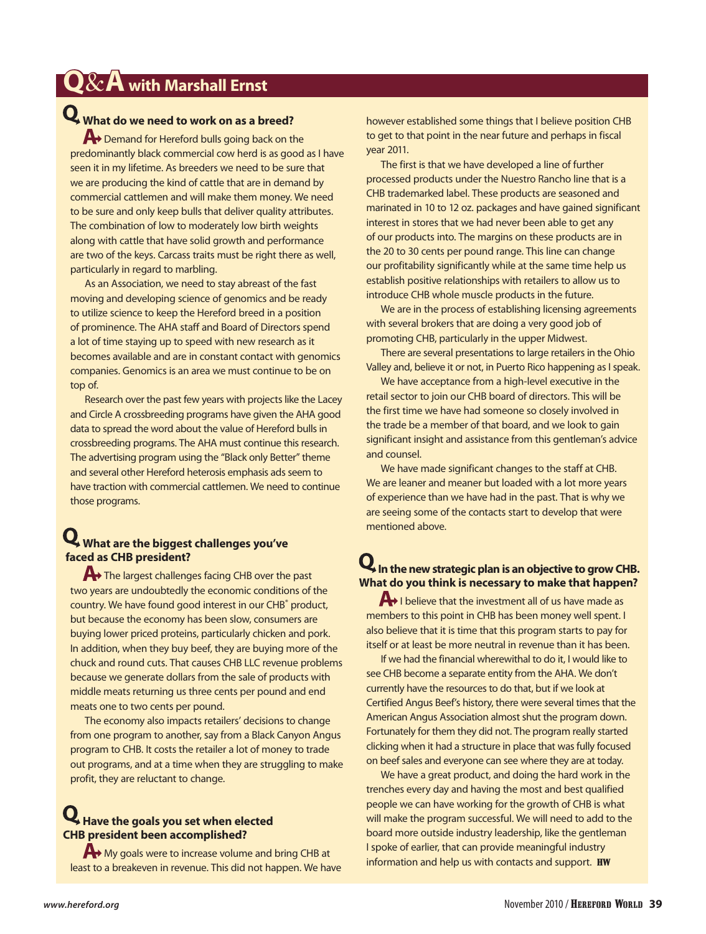### **Q**&**A with Marshall Ernst**

## **What do we need to work on as a breed?**

**A→** Demand for Hereford bulls going back on the predominantly black commercial cow herd is as good as I have seen it in my lifetime. As breeders we need to be sure that we are producing the kind of cattle that are in demand by commercial cattlemen and will make them money. We need to be sure and only keep bulls that deliver quality attributes. The combination of low to moderately low birth weights along with cattle that have solid growth and performance are two of the keys. Carcass traits must be right there as well, particularly in regard to marbling.

As an Association, we need to stay abreast of the fast moving and developing science of genomics and be ready to utilize science to keep the Hereford breed in a position of prominence. The AHA staff and Board of Directors spend a lot of time staying up to speed with new research as it becomes available and are in constant contact with genomics companies. Genomics is an area we must continue to be on top of.

Research over the past few years with projects like the Lacey and Circle A crossbreeding programs have given the AHA good data to spread the word about the value of Hereford bulls in crossbreeding programs. The AHA must continue this research. The advertising program using the "Black only Better" theme and several other Hereford heterosis emphasis ads seem to have traction with commercial cattlemen. We need to continue those programs.

#### **What are the biggest challenges you've faced as CHB president?**

The largest challenges facing CHB over the past two years are undoubtedly the economic conditions of the country. We have found good interest in our CHB<sup>®</sup> product, but because the economy has been slow, consumers are buying lower priced proteins, particularly chicken and pork. In addition, when they buy beef, they are buying more of the chuck and round cuts. That causes CHB LLC revenue problems because we generate dollars from the sale of products with middle meats returning us three cents per pound and end meats one to two cents per pound.

The economy also impacts retailers' decisions to change from one program to another, say from a Black Canyon Angus program to CHB. It costs the retailer a lot of money to trade out programs, and at a time when they are struggling to make profit, they are reluctant to change.

#### **Have the goals you set when elected CHB president been accomplished?**

 $\leftrightarrow$  My goals were to increase volume and bring CHB at least to a breakeven in revenue. This did not happen. We have

however established some things that I believe position CHB to get to that point in the near future and perhaps in fiscal year 2011.

The first is that we have developed a line of further processed products under the Nuestro Rancho line that is a CHB trademarked label. These products are seasoned and marinated in 10 to 12 oz. packages and have gained significant interest in stores that we had never been able to get any of our products into. The margins on these products are in the 20 to 30 cents per pound range. This line can change our profitability significantly while at the same time help us establish positive relationships with retailers to allow us to introduce CHB whole muscle products in the future.

We are in the process of establishing licensing agreements with several brokers that are doing a very good job of promoting CHB, particularly in the upper Midwest.

There are several presentations to large retailers in the Ohio Valley and, believe it or not, in Puerto Rico happening as I speak.

We have acceptance from a high-level executive in the retail sector to join our CHB board of directors. This will be the first time we have had someone so closely involved in the trade be a member of that board, and we look to gain significant insight and assistance from this gentleman's advice and counsel.

We have made significant changes to the staff at CHB. We are leaner and meaner but loaded with a lot more years of experience than we have had in the past. That is why we are seeing some of the contacts start to develop that were mentioned above.

#### $\mathbf Q$  In the new strategic plan is an objective to grow CHB. **What do you think is necessary to make that happen?**

 $\bigoplus$  I believe that the investment all of us have made as members to this point in CHB has been money well spent. I also believe that it is time that this program starts to pay for itself or at least be more neutral in revenue than it has been.

If we had the financial wherewithal to do it, I would like to see CHB become a separate entity from the AHA. We don't currently have the resources to do that, but if we look at Certified Angus Beef's history, there were several times that the American Angus Association almost shut the program down. Fortunately for them they did not. The program really started clicking when it had a structure in place that was fully focused on beef sales and everyone can see where they are at today.

We have a great product, and doing the hard work in the trenches every day and having the most and best qualified people we can have working for the growth of CHB is what will make the program successful. We will need to add to the board more outside industry leadership, like the gentleman I spoke of earlier, that can provide meaningful industry information and help us with contacts and support. HW